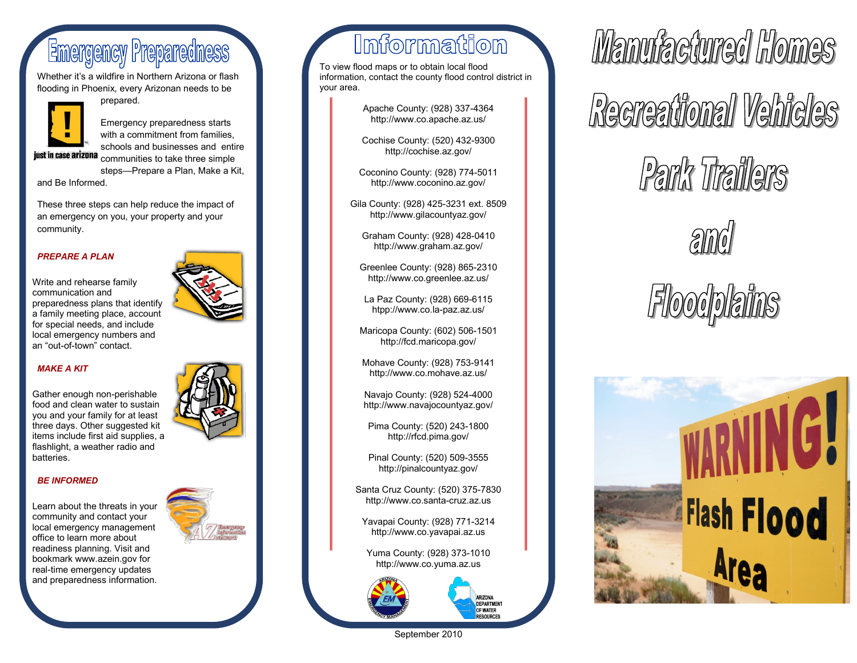## **Emergency Preparedness**

Whether it's a wildfire in Northern Arizona or flash flooding in Phoenix, every Arizonan needs to be



prepared.



Emergency preparedness starts with a commitment from families. schools and businesses and entire just in case arizona communities to take three simple

steps—Prepare a Plan, Make a Kit,

and Be Informed.

These three steps can help reduce the impact of an emergency on you, your property and your community.

### *PREPARE A PLAN*

Write and rehearse family communication and preparedness plans that identify a family meeting place, account for special needs, and include local emergency numbers and an "out-of-town" contact.

### *MAKE A KIT*

Gather enough non-perishable food and clean water to sustain you and your family for at least three days. Other suggested kit items include first aid supplies, a flashlight, a weather radio and batteries.

### *BE INFORMED*

Learn about the threats in your community and contact your local emergency management office to learn more about readiness planning. Visit and bookmark www.azein.gov for real-time emergency updates and preparedness information.



## Information

To view flood maps or to obtain local flood information, contact the county flood control district in your area.

> Apache County: (928) 337-4364 http://www.co.apache.az.us/

> Cochise County: (520) 432-9300 http://cochise.az.gov/

Coconino County: (928) 774-5011 http://www.coconino.az.gov/

Gila County: (928) 425-3231 ext. 8509 http://www.gilacountyaz.gov/

Graham County: (928) 428-0410 http://www.graham.az.gov/

Greenlee County: (928) 865-2310 http://www.co.greenlee.az.us/

La Paz County: (928) 669-6115 htpp://www.co.la-paz.az.us/

Maricopa County: (602) 506-1501 http://fcd.maricopa.gov/

Mohave County: (928) 753-9141 http://www.co.mohave.az.us/

Navajo County: (928) 524-4000 http://www.navajocountyaz.gov/

Pima County: (520) 243-1800 http://rfcd.pima.gov/

Pinal County: (520) 509-3555 http://pinalcountyaz.gov/

Santa Cruz County: (520) 375-7830 http://www.co.santa-cruz.az.us

Yavapai County: (928) 771-3214 http://www.co.yavapai.az.us

Yuma County: (928) 373-1010 http://www.co.yuma.az.us

> ARIZONA DEPARTMENT OF WATER **RESOURCES**



Mamufaciunad Homes Recreational Vehicles Park Traillers



# *Floodplains*



September 2010